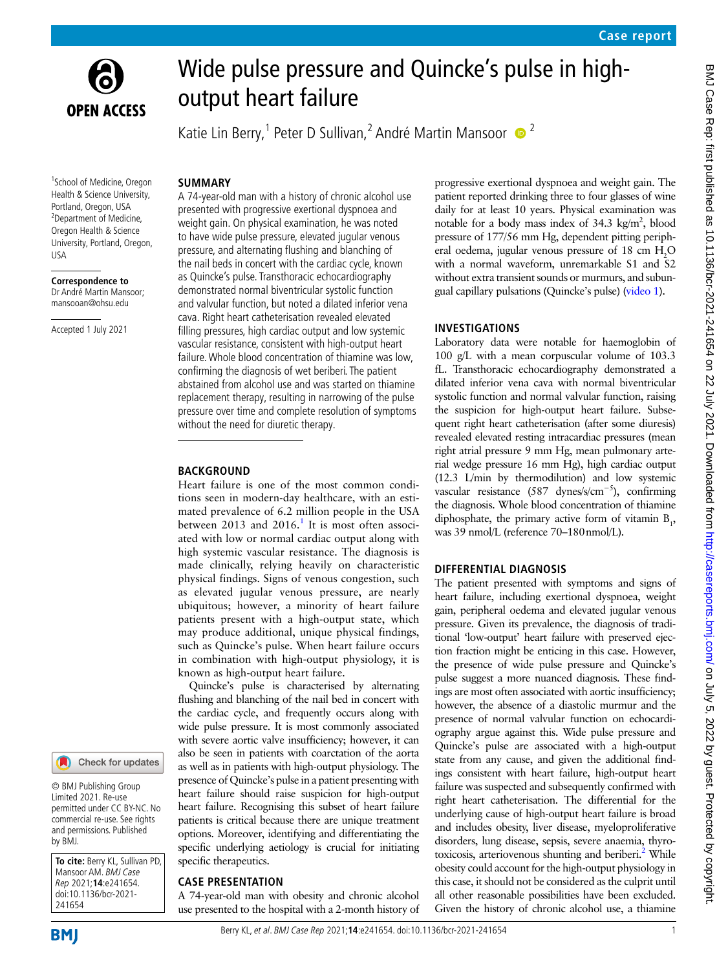



# Wide pulse pressure and Quincke's pulse in highoutput heart failure

Katie Lin Berry,<sup>1</sup> Peter D Sullivan,<sup>2</sup> André Martin Mansoor  $\bullet$ <sup>2</sup>

# **SUMMARY**

1 School of Medicine, Oregon Health & Science University, Portland, Oregon, USA <sup>2</sup>Department of Medicine, Oregon Health & Science University, Portland, Oregon, USA

**Correspondence to** Dr André Martin Mansoor; mansooan@ohsu.edu

Accepted 1 July 2021



© BMJ Publishing Group Limited 2021. Re-use permitted under CC BY-NC. No commercial re-use. See rights and permissions. Published by BMJ.

**To cite:** Berry KL, Sullivan PD, Mansoor AM. BMJ Case Rep 2021;**14**:e241654. doi:10.1136/bcr-2021- 241654

A 74-year-old man with a history of chronic alcohol use presented with progressive exertional dyspnoea and weight gain. On physical examination, he was noted to have wide pulse pressure, elevated jugular venous pressure, and alternating flushing and blanching of the nail beds in concert with the cardiac cycle, known as Quincke's pulse. Transthoracic echocardiography demonstrated normal biventricular systolic function and valvular function, but noted a dilated inferior vena cava. Right heart catheterisation revealed elevated filling pressures, high cardiac output and low systemic vascular resistance, consistent with high-output heart failure. Whole blood concentration of thiamine was low, confirming the diagnosis of wet beriberi. The patient abstained from alcohol use and was started on thiamine replacement therapy, resulting in narrowing of the pulse pressure over time and complete resolution of symptoms without the need for diuretic therapy.

#### **BACKGROUND**

Heart failure is one of the most common conditions seen in modern-day healthcare, with an estimated prevalence of 6.2 million people in the USA between 20[1](#page-2-0)3 and 2016.<sup>1</sup> It is most often associated with low or normal cardiac output along with high systemic vascular resistance. The diagnosis is made clinically, relying heavily on characteristic physical findings. Signs of venous congestion, such as elevated jugular venous pressure, are nearly ubiquitous; however, a minority of heart failure patients present with a high-output state, which may produce additional, unique physical findings, such as Quincke's pulse. When heart failure occurs in combination with high-output physiology, it is known as high-output heart failure.

Quincke's pulse is characterised by alternating flushing and blanching of the nail bed in concert with the cardiac cycle, and frequently occurs along with wide pulse pressure. It is most commonly associated with severe aortic valve insufficiency; however, it can also be seen in patients with coarctation of the aorta as well as in patients with high-output physiology. The presence of Quincke's pulse in a patient presenting with heart failure should raise suspicion for high-output heart failure. Recognising this subset of heart failure patients is critical because there are unique treatment options. Moreover, identifying and differentiating the specific underlying aetiology is crucial for initiating specific therapeutics.

## **CASE PRESENTATION**

A 74-year-old man with obesity and chronic alcohol use presented to the hospital with a 2-month history of progressive exertional dyspnoea and weight gain. The patient reported drinking three to four glasses of wine daily for at least 10 years. Physical examination was notable for a body mass index of  $34.3 \text{ kg/m}^2$ , blood pressure of 177/56 mm Hg, dependent pitting peripheral oedema, jugular venous pressure of  $18 \text{ cm } H_2\text{O}$ with a normal waveform, unremarkable S1 and S2 without extra transient sounds or murmurs, and subungual capillary pulsations (Quincke's pulse) [\(video](#page-1-0) 1).

# **INVESTIGATIONS**

Laboratory data were notable for haemoglobin of 100 g/L with a mean corpuscular volume of 103.3 fL. Transthoracic echocardiography demonstrated a dilated inferior vena cava with normal biventricular systolic function and normal valvular function, raising the suspicion for high-output heart failure. Subsequent right heart catheterisation (after some diuresis) revealed elevated resting intracardiac pressures (mean right atrial pressure 9 mm Hg, mean pulmonary arterial wedge pressure 16 mm Hg), high cardiac output (12.3 L/min by thermodilution) and low systemic vascular resistance (587 dynes/s/cm−5), confirming the diagnosis. Whole blood concentration of thiamine diphosphate, the primary active form of vitamin  $B_1$ , was 39 nmol/L (reference 70–180nmol/L).

# **DIFFERENTIAL DIAGNOSIS**

The patient presented with symptoms and signs of heart failure, including exertional dyspnoea, weight gain, peripheral oedema and elevated jugular venous pressure. Given its prevalence, the diagnosis of traditional 'low-output' heart failure with preserved ejection fraction might be enticing in this case. However, the presence of wide pulse pressure and Quincke's pulse suggest a more nuanced diagnosis. These findings are most often associated with aortic insufficiency; however, the absence of a diastolic murmur and the presence of normal valvular function on echocardiography argue against this. Wide pulse pressure and Quincke's pulse are associated with a high-output state from any cause, and given the additional findings consistent with heart failure, high-output heart failure was suspected and subsequently confirmed with right heart catheterisation. The differential for the underlying cause of high-output heart failure is broad and includes obesity, liver disease, myeloproliferative disorders, lung disease, sepsis, severe anaemia, thyrotoxicosis, arteriovenous shunting and beriberi.<sup>2</sup> While obesity could account for the high-output physiology in this case, it should not be considered as the culprit until all other reasonable possibilities have been excluded. Given the history of chronic alcohol use, a thiamine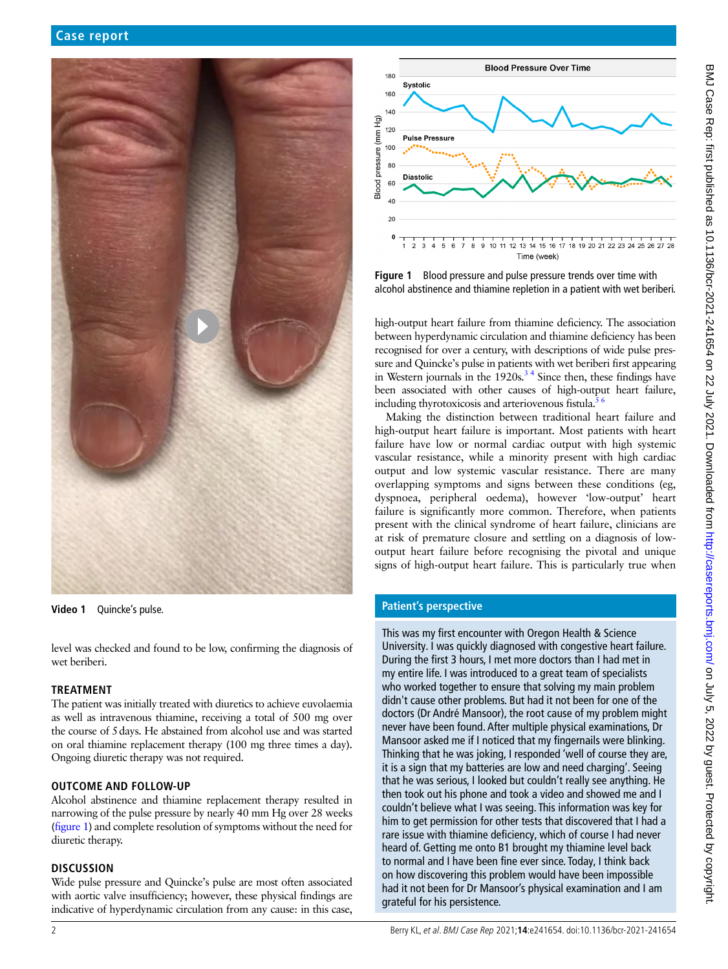

**Video 1** Quincke's pulse.

<span id="page-1-0"></span>level was checked and found to be low, confirming the diagnosis of wet beriberi.

## **TREATMENT**

The patient was initially treated with diuretics to achieve euvolaemia as well as intravenous thiamine, receiving a total of 500 mg over the course of 5days. He abstained from alcohol use and was started on oral thiamine replacement therapy (100 mg three times a day). Ongoing diuretic therapy was not required.

## **OUTCOME AND FOLLOW-UP**

Alcohol abstinence and thiamine replacement therapy resulted in narrowing of the pulse pressure by nearly 40 mm Hg over 28 weeks ([figure](#page-1-1) 1) and complete resolution of symptoms without the need for diuretic therapy.

## **DISCUSSION**

Wide pulse pressure and Quincke's pulse are most often associated with aortic valve insufficiency; however, these physical findings are indicative of hyperdynamic circulation from any cause: in this case,



<span id="page-1-1"></span>**Figure 1** Blood pressure and pulse pressure trends over time with alcohol abstinence and thiamine repletion in a patient with wet beriberi.

high-output heart failure from thiamine deficiency. The association between hyperdynamic circulation and thiamine deficiency has been recognised for over a century, with descriptions of wide pulse pressure and Quincke's pulse in patients with wet beriberi first appearing in Western journals in the  $1920s<sup>34</sup>$  Since then, these findings have been associated with other causes of high-output heart failure, including thyrotoxicosis and arteriovenous fistula.<sup>5</sup>

Making the distinction between traditional heart failure and high-output heart failure is important. Most patients with heart failure have low or normal cardiac output with high systemic vascular resistance, while a minority present with high cardiac output and low systemic vascular resistance. There are many overlapping symptoms and signs between these conditions (eg, dyspnoea, peripheral oedema), however 'low-output' heart failure is significantly more common. Therefore, when patients present with the clinical syndrome of heart failure, clinicians are at risk of premature closure and settling on a diagnosis of lowoutput heart failure before recognising the pivotal and unique signs of high-output heart failure. This is particularly true when

## **Patient's perspective**

This was my first encounter with Oregon Health & Science University. I was quickly diagnosed with congestive heart failure. During the first 3 hours, I met more doctors than I had met in my entire life. I was introduced to a great team of specialists who worked together to ensure that solving my main problem didn't cause other problems. But had it not been for one of the doctors (Dr André Mansoor), the root cause of my problem might never have been found. After multiple physical examinations, Dr Mansoor asked me if I noticed that my fingernails were blinking. Thinking that he was joking, I responded 'well of course they are, it is a sign that my batteries are low and need charging'. Seeing that he was serious, I looked but couldn't really see anything. He then took out his phone and took a video and showed me and I couldn't believe what I was seeing. This information was key for him to get permission for other tests that discovered that I had a rare issue with thiamine deficiency, which of course I had never heard of. Getting me onto B1 brought my thiamine level back to normal and I have been fine ever since. Today, I think back on how discovering this problem would have been impossible had it not been for Dr Mansoor's physical examination and I am grateful for his persistence.